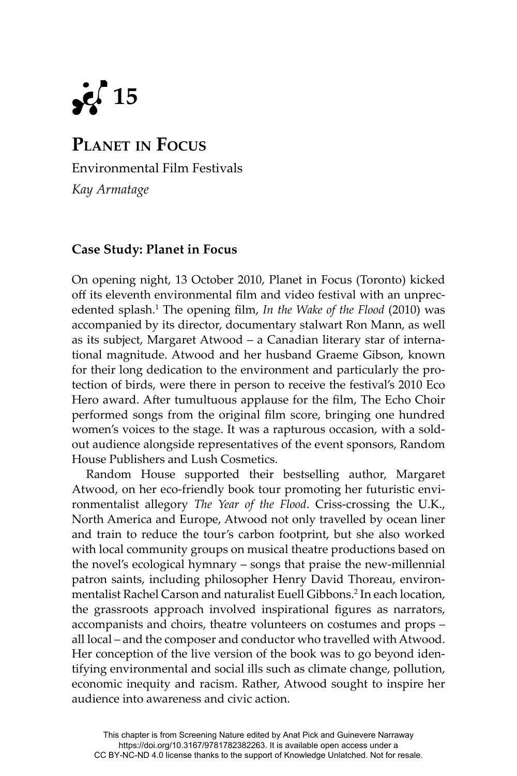

# **Planet in Focus** Environmental Film Festivals *Kay Armatage*

## **Case Study: Planet in Focus**

On opening night, 13 October 2010, Planet in Focus (Toronto) kicked off its eleventh environmental film and video festival with an unprecedented splash.1 The opening film, *In the Wake of the Flood* (2010) was accompanied by its director, documentary stalwart Ron Mann, as well as its subject, Margaret Atwood – a Canadian literary star of international magnitude. Atwood and her husband Graeme Gibson, known for their long dedication to the environment and particularly the protection of birds, were there in person to receive the festival's 2010 Eco Hero award. After tumultuous applause for the film, The Echo Choir performed songs from the original film score, bringing one hundred women's voices to the stage. It was a rapturous occasion, with a soldout audience alongside representatives of the event sponsors, Random House Publishers and Lush Cosmetics.

Random House supported their bestselling author, Margaret Atwood, on her eco-friendly book tour promoting her futuristic environmentalist allegory *The Year of the Flood*. Criss-crossing the U.K., North America and Europe, Atwood not only travelled by ocean liner and train to reduce the tour's carbon footprint, but she also worked with local community groups on musical theatre productions based on the novel's ecological hymnary – songs that praise the new-millennial patron saints, including philosopher Henry David Thoreau, environmentalist Rachel Carson and naturalist Euell Gibbons.<sup>2</sup> In each location, the grassroots approach involved inspirational figures as narrators, accompanists and choirs, theatre volunteers on costumes and props – all local – and the composer and conductor who travelled with Atwood. Her conception of the live version of the book was to go beyond identifying environmental and social ills such as climate change, pollution, economic inequity and racism. Rather, Atwood sought to inspire her audience into awareness and civic action.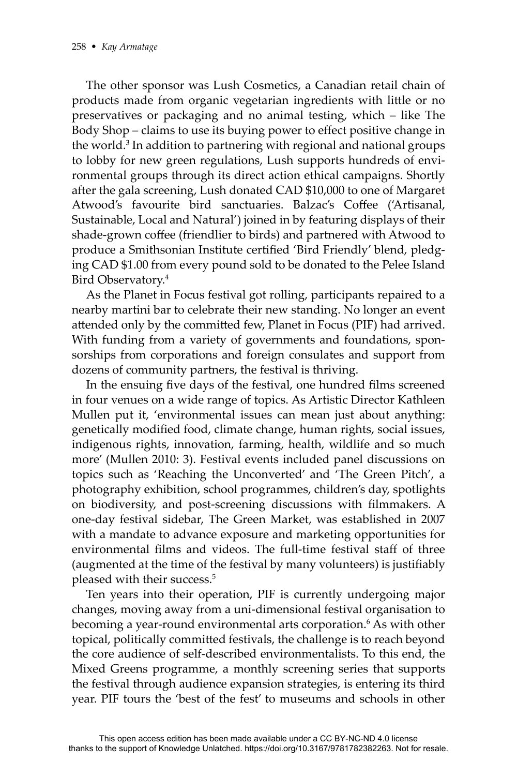The other sponsor was Lush Cosmetics, a Canadian retail chain of products made from organic vegetarian ingredients with little or no preservatives or packaging and no animal testing, which – like The Body Shop – claims to use its buying power to effect positive change in the world.<sup>3</sup> In addition to partnering with regional and national groups to lobby for new green regulations, Lush supports hundreds of environmental groups through its direct action ethical campaigns. Shortly after the gala screening, Lush donated CAD \$10,000 to one of Margaret Atwood's favourite bird sanctuaries. Balzac's Coffee ('Artisanal, Sustainable, Local and Natural') joined in by featuring displays of their shade-grown coffee (friendlier to birds) and partnered with Atwood to produce a Smithsonian Institute certified 'Bird Friendly' blend, pledging CAD \$1.00 from every pound sold to be donated to the Pelee Island Bird Observatory.4

As the Planet in Focus festival got rolling, participants repaired to a nearby martini bar to celebrate their new standing. No longer an event attended only by the committed few, Planet in Focus (PIF) had arrived. With funding from a variety of governments and foundations, sponsorships from corporations and foreign consulates and support from dozens of community partners, the festival is thriving.

In the ensuing five days of the festival, one hundred films screened in four venues on a wide range of topics. As Artistic Director Kathleen Mullen put it, 'environmental issues can mean just about anything: genetically modified food, climate change, human rights, social issues, indigenous rights, innovation, farming, health, wildlife and so much more' (Mullen 2010: 3). Festival events included panel discussions on topics such as 'Reaching the Unconverted' and 'The Green Pitch', a photography exhibition, school programmes, children's day, spotlights on biodiversity, and post-screening discussions with filmmakers. A one-day festival sidebar, The Green Market, was established in 2007 with a mandate to advance exposure and marketing opportunities for environmental films and videos. The full-time festival staff of three (augmented at the time of the festival by many volunteers) is justifiably pleased with their success.<sup>5</sup>

Ten years into their operation, PIF is currently undergoing major changes, moving away from a uni-dimensional festival organisation to becoming a year-round environmental arts corporation.<sup>6</sup> As with other topical, politically committed festivals, the challenge is to reach beyond the core audience of self-described environmentalists. To this end, the Mixed Greens programme, a monthly screening series that supports the festival through audience expansion strategies, is entering its third year. PIF tours the 'best of the fest' to museums and schools in other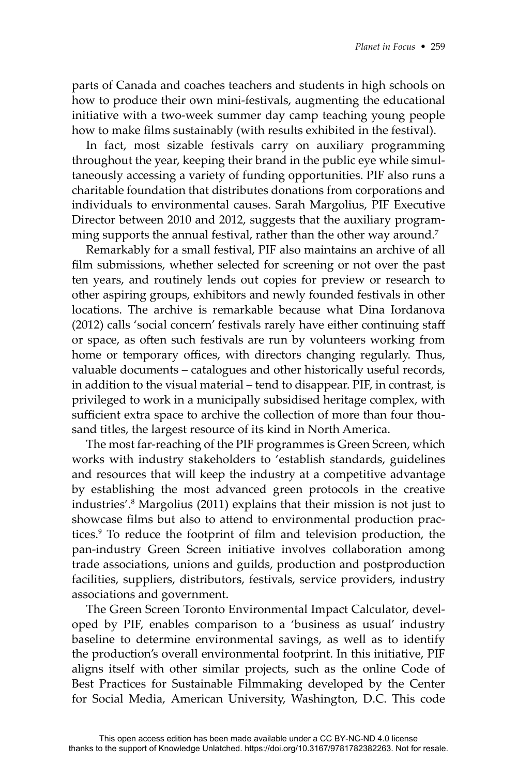parts of Canada and coaches teachers and students in high schools on how to produce their own mini-festivals, augmenting the educational initiative with a two-week summer day camp teaching young people how to make films sustainably (with results exhibited in the festival).

In fact, most sizable festivals carry on auxiliary programming throughout the year, keeping their brand in the public eye while simultaneously accessing a variety of funding opportunities. PIF also runs a charitable foundation that distributes donations from corporations and individuals to environmental causes. Sarah Margolius, PIF Executive Director between 2010 and 2012, suggests that the auxiliary programming supports the annual festival, rather than the other way around.<sup>7</sup>

Remarkably for a small festival, PIF also maintains an archive of all film submissions, whether selected for screening or not over the past ten years, and routinely lends out copies for preview or research to other aspiring groups, exhibitors and newly founded festivals in other locations. The archive is remarkable because what Dina Iordanova (2012) calls 'social concern' festivals rarely have either continuing staff or space, as often such festivals are run by volunteers working from home or temporary offices, with directors changing regularly. Thus, valuable documents – catalogues and other historically useful records, in addition to the visual material – tend to disappear. PIF, in contrast, is privileged to work in a municipally subsidised heritage complex, with sufficient extra space to archive the collection of more than four thousand titles, the largest resource of its kind in North America.

The most far-reaching of the PIF programmes is Green Screen, which works with industry stakeholders to 'establish standards, guidelines and resources that will keep the industry at a competitive advantage by establishing the most advanced green protocols in the creative industries'.8 Margolius (2011) explains that their mission is not just to showcase films but also to attend to environmental production practices.9 To reduce the footprint of film and television production, the pan-industry Green Screen initiative involves collaboration among trade associations, unions and guilds, production and postproduction facilities, suppliers, distributors, festivals, service providers, industry associations and government.

The Green Screen Toronto Environmental Impact Calculator, developed by PIF, enables comparison to a 'business as usual' industry baseline to determine environmental savings, as well as to identify the production's overall environmental footprint. In this initiative, PIF aligns itself with other similar projects, such as the online Code of Best Practices for Sustainable Filmmaking developed by the Center for Social Media, American University, Washington, D.C. This code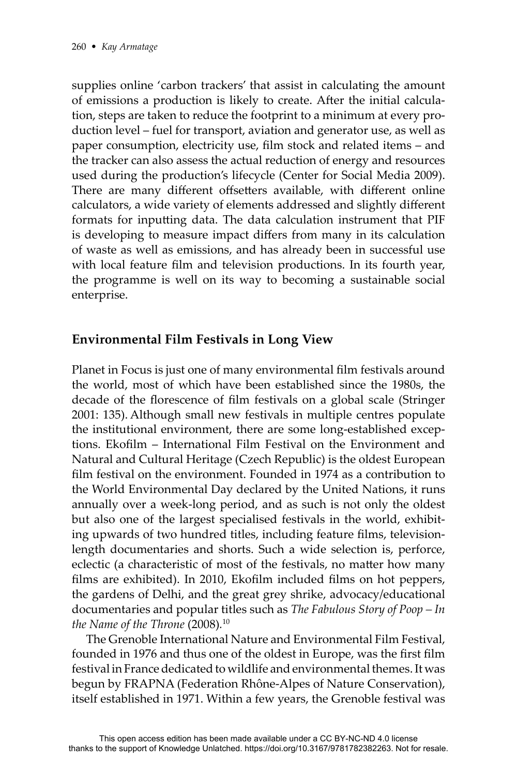supplies online 'carbon trackers' that assist in calculating the amount of emissions a production is likely to create. After the initial calculation, steps are taken to reduce the footprint to a minimum at every production level – fuel for transport, aviation and generator use, as well as paper consumption, electricity use, film stock and related items – and the tracker can also assess the actual reduction of energy and resources used during the production's lifecycle (Center for Social Media 2009). There are many different offsetters available, with different online calculators, a wide variety of elements addressed and slightly different formats for inputting data. The data calculation instrument that PIF is developing to measure impact differs from many in its calculation of waste as well as emissions, and has already been in successful use with local feature film and television productions. In its fourth year, the programme is well on its way to becoming a sustainable social enterprise.

# **Environmental Film Festivals in Long View**

Planet in Focus is just one of many environmental film festivals around the world, most of which have been established since the 1980s, the decade of the florescence of film festivals on a global scale (Stringer 2001: 135). Although small new festivals in multiple centres populate the institutional environment, there are some long-established exceptions. Ekofilm – International Film Festival on the Environment and Natural and Cultural Heritage (Czech Republic) is the oldest European film festival on the environment. Founded in 1974 as a contribution to the World Environmental Day declared by the United Nations, it runs annually over a week-long period, and as such is not only the oldest but also one of the largest specialised festivals in the world, exhibiting upwards of two hundred titles, including feature films, televisionlength documentaries and shorts. Such a wide selection is, perforce, eclectic (a characteristic of most of the festivals, no matter how many films are exhibited). In 2010, Ekofilm included films on hot peppers, the gardens of Delhi, and the great grey shrike, advocacy/educational documentaries and popular titles such as *The Fabulous Story of Poop – In the Name of the Throne* (2008)*.* 10

The Grenoble International Nature and Environmental Film Festival, founded in 1976 and thus one of the oldest in Europe, was the first film festival in France dedicated to wildlife and environmental themes. It was begun by FRAPNA (Federation Rhône-Alpes of Nature Conservation), itself established in 1971. Within a few years, the Grenoble festival was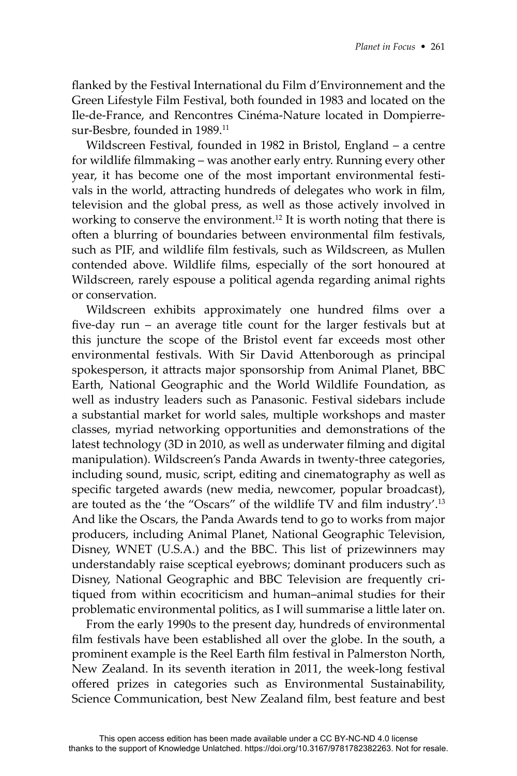flanked by the Festival International du Film d'Environnement and the Green Lifestyle Film Festival, both founded in 1983 and located on the Ile-de-France, and Rencontres Cinéma-Nature located in Dompierresur-Besbre, founded in 1989.<sup>11</sup>

Wildscreen Festival, founded in 1982 in Bristol, England – a centre for wildlife filmmaking – was another early entry. Running every other year, it has become one of the most important environmental festivals in the world, attracting hundreds of delegates who work in film, television and the global press, as well as those actively involved in working to conserve the environment.<sup>12</sup> It is worth noting that there is often a blurring of boundaries between environmental film festivals, such as PIF, and wildlife film festivals, such as Wildscreen, as Mullen contended above. Wildlife films, especially of the sort honoured at Wildscreen, rarely espouse a political agenda regarding animal rights or conservation.

Wildscreen exhibits approximately one hundred films over a five-day run – an average title count for the larger festivals but at this juncture the scope of the Bristol event far exceeds most other environmental festivals. With Sir David Attenborough as principal spokesperson, it attracts major sponsorship from Animal Planet, BBC Earth, National Geographic and the World Wildlife Foundation, as well as industry leaders such as Panasonic. Festival sidebars include a substantial market for world sales, multiple workshops and master classes, myriad networking opportunities and demonstrations of the latest technology (3D in 2010, as well as underwater filming and digital manipulation). Wildscreen's Panda Awards in twenty-three categories, including sound, music, script, editing and cinematography as well as specific targeted awards (new media, newcomer, popular broadcast), are touted as the 'the "Oscars" of the wildlife TV and film industry'.<sup>13</sup> And like the Oscars, the Panda Awards tend to go to works from major producers, including Animal Planet, National Geographic Television, Disney, WNET (U.S.A.) and the BBC. This list of prizewinners may understandably raise sceptical eyebrows; dominant producers such as Disney, National Geographic and BBC Television are frequently critiqued from within ecocriticism and human–animal studies for their problematic environmental politics, as I will summarise a little later on.

From the early 1990s to the present day, hundreds of environmental film festivals have been established all over the globe. In the south, a prominent example is the Reel Earth film festival in Palmerston North, New Zealand. In its seventh iteration in 2011, the week-long festival offered prizes in categories such as Environmental Sustainability, Science Communication, best New Zealand film, best feature and best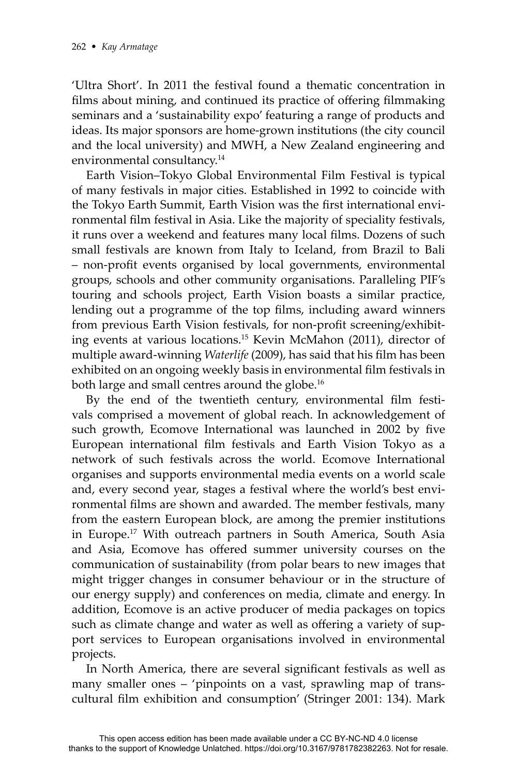'Ultra Short'. In 2011 the festival found a thematic concentration in films about mining, and continued its practice of offering filmmaking seminars and a 'sustainability expo' featuring a range of products and ideas. Its major sponsors are home-grown institutions (the city council and the local university) and MWH, a New Zealand engineering and environmental consultancy.14

Earth Vision–Tokyo Global Environmental Film Festival is typical of many festivals in major cities. Established in 1992 to coincide with the Tokyo Earth Summit, Earth Vision was the first international environmental film festival in Asia. Like the majority of speciality festivals, it runs over a weekend and features many local films. Dozens of such small festivals are known from Italy to Iceland, from Brazil to Bali – non-profit events organised by local governments, environmental groups, schools and other community organisations. Paralleling PIF's touring and schools project, Earth Vision boasts a similar practice, lending out a programme of the top films, including award winners from previous Earth Vision festivals, for non-profit screening/exhibiting events at various locations.15 Kevin McMahon (2011), director of multiple award-winning *Waterlife* (2009), has said that his film has been exhibited on an ongoing weekly basis in environmental film festivals in both large and small centres around the globe.<sup>16</sup>

By the end of the twentieth century, environmental film festivals comprised a movement of global reach. In acknowledgement of such growth, Ecomove International was launched in 2002 by five European international film festivals and Earth Vision Tokyo as a network of such festivals across the world. Ecomove International organises and supports environmental media events on a world scale and, every second year, stages a festival where the world's best environmental films are shown and awarded. The member festivals, many from the eastern European block, are among the premier institutions in Europe.17 With outreach partners in South America, South Asia and Asia, Ecomove has offered summer university courses on the communication of sustainability (from polar bears to new images that might trigger changes in consumer behaviour or in the structure of our energy supply) and conferences on media, climate and energy. In addition, Ecomove is an active producer of media packages on topics such as climate change and water as well as offering a variety of support services to European organisations involved in environmental projects.

In North America, there are several significant festivals as well as many smaller ones – 'pinpoints on a vast, sprawling map of transcultural film exhibition and consumption' (Stringer 2001: 134). Mark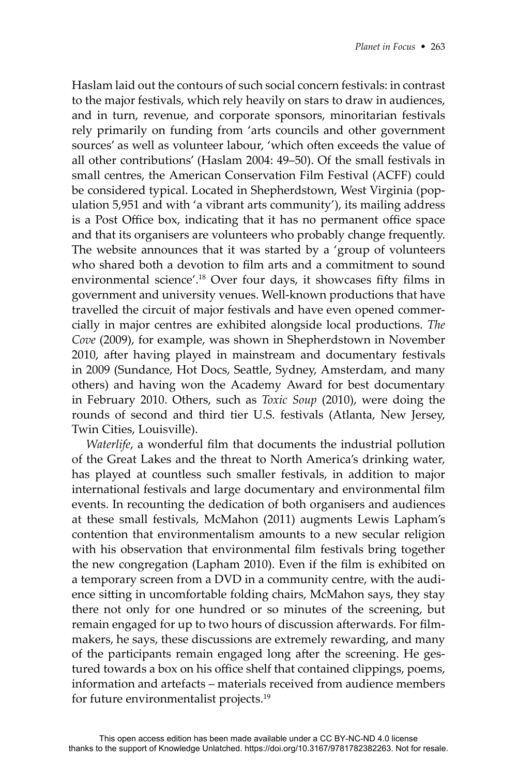Haslam laid out the contours of such social concern festivals: in contrast to the major festivals, which rely heavily on stars to draw in audiences, and in turn, revenue, and corporate sponsors, minoritarian festivals rely primarily on funding from 'arts councils and other government sources' as well as volunteer labour, 'which often exceeds the value of all other contributions' (Haslam 2004: 49–50). Of the small festivals in small centres, the American Conservation Film Festival (ACFF) could be considered typical. Located in Shepherdstown, West Virginia (population 5,951 and with 'a vibrant arts community'), its mailing address is a Post Office box, indicating that it has no permanent office space and that its organisers are volunteers who probably change frequently. The website announces that it was started by a 'group of volunteers who shared both a devotion to film arts and a commitment to sound environmental science'.18 Over four days, it showcases fifty films in government and university venues. Well-known productions that have travelled the circuit of major festivals and have even opened commercially in major centres are exhibited alongside local productions. *The Cove* (2009), for example, was shown in Shepherdstown in November 2010, after having played in mainstream and documentary festivals in 2009 (Sundance, Hot Docs, Seattle, Sydney, Amsterdam, and many others) and having won the Academy Award for best documentary in February 2010. Others, such as *Toxic Soup* (2010), were doing the rounds of second and third tier U.S. festivals (Atlanta, New Jersey, Twin Cities, Louisville).

*Waterlife*, a wonderful film that documents the industrial pollution of the Great Lakes and the threat to North America's drinking water, has played at countless such smaller festivals, in addition to major international festivals and large documentary and environmental film events. In recounting the dedication of both organisers and audiences at these small festivals, McMahon (2011) augments Lewis Lapham's contention that environmentalism amounts to a new secular religion with his observation that environmental film festivals bring together the new congregation (Lapham 2010). Even if the film is exhibited on a temporary screen from a DVD in a community centre, with the audience sitting in uncomfortable folding chairs, McMahon says, they stay there not only for one hundred or so minutes of the screening, but remain engaged for up to two hours of discussion afterwards. For filmmakers, he says, these discussions are extremely rewarding, and many of the participants remain engaged long after the screening. He gestured towards a box on his office shelf that contained clippings, poems, information and artefacts – materials received from audience members for future environmentalist projects.<sup>19</sup>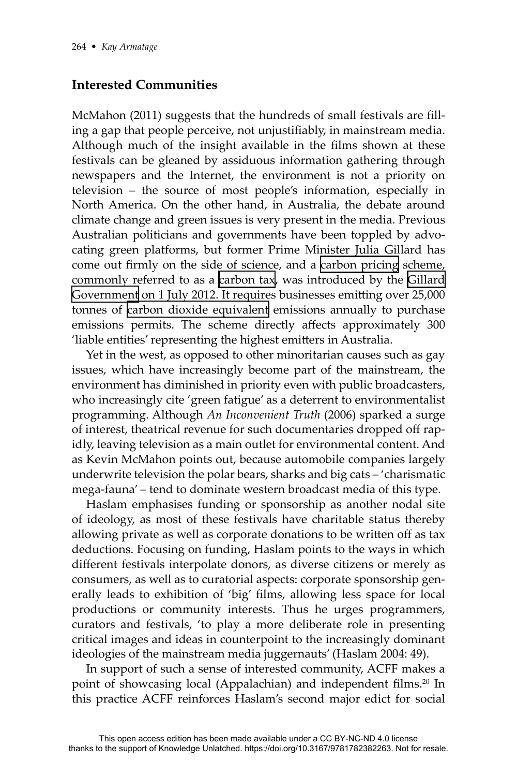#### **Interested Communities**

McMahon (2011) suggests that the hundreds of small festivals are filling a gap that people perceive, not unjustifiably, in mainstream media. Although much of the insight available in the films shown at these festivals can be gleaned by assiduous information gathering through newspapers and the Internet, the environment is not a priority on television – the source of most people's information, especially in North America. On the other hand, in Australia, the debate around climate change and green issues is very present in the media. Previous Australian politicians and governments have been toppled by advocating green platforms, but former Prime Minister Julia Gillard has come out firmly on the side of science, and a [carbon pricing](http://en.wikipedia.org/wiki/Carbon_pricing) scheme, commonly referred to as a [carbon tax,](http://en.wikipedia.org/wiki/Carbon_tax) was introduced by the [Gillard](http://en.wikipedia.org/wiki/Gillard_Government) [Government](http://en.wikipedia.org/wiki/Gillard_Government) on 1 July 2012. It requires businesses emitting over 25,000 tonnes of [carbon dioxide equivalent](http://en.wikipedia.org/wiki/Carbon_dioxide_equivalent) emissions annually to purchase emissions permits. The scheme directly affects approximately 300 'liable entities' representing the highest emitters in Australia.

Yet in the west, as opposed to other minoritarian causes such as gay issues, which have increasingly become part of the mainstream, the environment has diminished in priority even with public broadcasters, who increasingly cite 'green fatigue' as a deterrent to environmentalist programming. Although *An Inconvenient Truth* (2006) sparked a surge of interest, theatrical revenue for such documentaries dropped off rapidly, leaving television as a main outlet for environmental content. And as Kevin McMahon points out, because automobile companies largely underwrite television the polar bears, sharks and big cats – 'charismatic mega-fauna' – tend to dominate western broadcast media of this type.

Haslam emphasises funding or sponsorship as another nodal site of ideology, as most of these festivals have charitable status thereby allowing private as well as corporate donations to be written off as tax deductions. Focusing on funding, Haslam points to the ways in which different festivals interpolate donors, as diverse citizens or merely as consumers, as well as to curatorial aspects: corporate sponsorship generally leads to exhibition of 'big' films, allowing less space for local productions or community interests. Thus he urges programmers, curators and festivals, 'to play a more deliberate role in presenting critical images and ideas in counterpoint to the increasingly dominant ideologies of the mainstream media juggernauts' (Haslam 2004: 49).

In support of such a sense of interested community, ACFF makes a point of showcasing local (Appalachian) and independent films.<sup>20</sup> In this practice ACFF reinforces Haslam's second major edict for social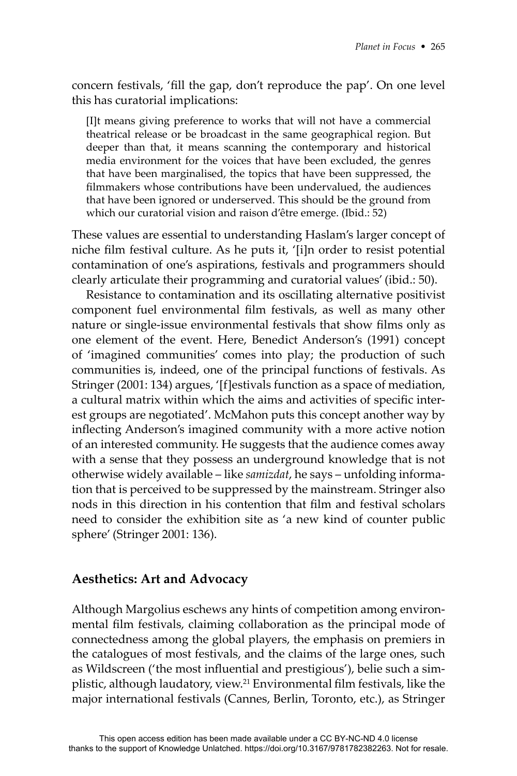concern festivals, 'fill the gap, don't reproduce the pap'. On one level this has curatorial implications:

[I]t means giving preference to works that will not have a commercial theatrical release or be broadcast in the same geographical region. But deeper than that, it means scanning the contemporary and historical media environment for the voices that have been excluded, the genres that have been marginalised, the topics that have been suppressed, the filmmakers whose contributions have been undervalued, the audiences that have been ignored or underserved. This should be the ground from which our curatorial vision and raison d'être emerge. (Ibid.: 52)

These values are essential to understanding Haslam's larger concept of niche film festival culture. As he puts it, '[i]n order to resist potential contamination of one's aspirations, festivals and programmers should clearly articulate their programming and curatorial values' (ibid.: 50).

Resistance to contamination and its oscillating alternative positivist component fuel environmental film festivals, as well as many other nature or single-issue environmental festivals that show films only as one element of the event. Here, Benedict Anderson's (1991) concept of 'imagined communities' comes into play; the production of such communities is, indeed, one of the principal functions of festivals. As Stringer (2001: 134) argues, '[f]estivals function as a space of mediation, a cultural matrix within which the aims and activities of specific interest groups are negotiated'. McMahon puts this concept another way by inflecting Anderson's imagined community with a more active notion of an interested community. He suggests that the audience comes away with a sense that they possess an underground knowledge that is not otherwise widely available – like *samizdat*, he says – unfolding information that is perceived to be suppressed by the mainstream. Stringer also nods in this direction in his contention that film and festival scholars need to consider the exhibition site as 'a new kind of counter public sphere' (Stringer 2001: 136).

#### **Aesthetics: Art and Advocacy**

Although Margolius eschews any hints of competition among environmental film festivals, claiming collaboration as the principal mode of connectedness among the global players, the emphasis on premiers in the catalogues of most festivals, and the claims of the large ones, such as Wildscreen ('the most influential and prestigious'), belie such a simplistic, although laudatory, view.<sup>21</sup> Environmental film festivals, like the major international festivals (Cannes, Berlin, Toronto, etc.), as Stringer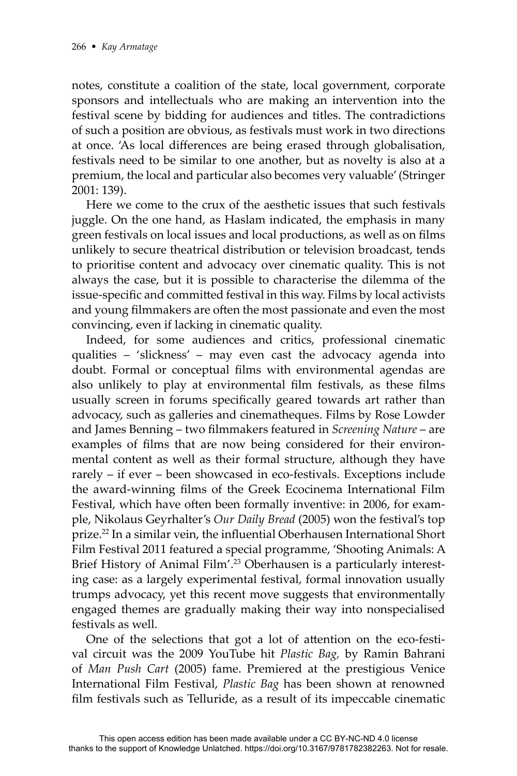notes, constitute a coalition of the state, local government, corporate sponsors and intellectuals who are making an intervention into the festival scene by bidding for audiences and titles. The contradictions of such a position are obvious, as festivals must work in two directions at once. 'As local differences are being erased through globalisation, festivals need to be similar to one another, but as novelty is also at a premium, the local and particular also becomes very valuable' (Stringer 2001: 139).

Here we come to the crux of the aesthetic issues that such festivals juggle. On the one hand, as Haslam indicated, the emphasis in many green festivals on local issues and local productions, as well as on films unlikely to secure theatrical distribution or television broadcast, tends to prioritise content and advocacy over cinematic quality. This is not always the case, but it is possible to characterise the dilemma of the issue-specific and committed festival in this way. Films by local activists and young filmmakers are often the most passionate and even the most convincing, even if lacking in cinematic quality.

Indeed, for some audiences and critics, professional cinematic qualities – 'slickness' – may even cast the advocacy agenda into doubt. Formal or conceptual films with environmental agendas are also unlikely to play at environmental film festivals, as these films usually screen in forums specifically geared towards art rather than advocacy, such as galleries and cinematheques. Films by Rose Lowder and James Benning – two filmmakers featured in *Screening Nature* – are examples of films that are now being considered for their environmental content as well as their formal structure, although they have rarely – if ever – been showcased in eco-festivals. Exceptions include the award-winning films of the Greek Ecocinema International Film Festival, which have often been formally inventive: in 2006, for example, Nikolaus Geyrhalter's *Our Daily Bread* (2005) won the festival's top prize.<sup>22</sup> In a similar vein, the influential Oberhausen International Short Film Festival 2011 featured a special programme, 'Shooting Animals: A Brief History of Animal Film'.<sup>23</sup> Oberhausen is a particularly interesting case: as a largely experimental festival, formal innovation usually trumps advocacy, yet this recent move suggests that environmentally engaged themes are gradually making their way into nonspecialised festivals as well.

One of the selections that got a lot of attention on the eco-festival circuit was the 2009 YouTube hit *Plastic Bag,* by Ramin Bahrani of *Man Push Cart* (2005) fame. Premiered at the prestigious Venice International Film Festival, *Plastic Bag* has been shown at renowned film festivals such as Telluride, as a result of its impeccable cinematic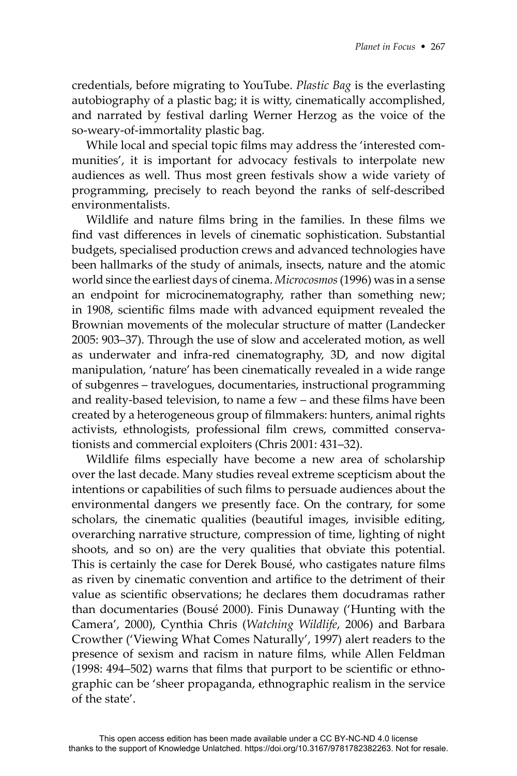credentials, before migrating to YouTube. *Plastic Bag* is the everlasting autobiography of a plastic bag; it is witty, cinematically accomplished, and narrated by festival darling Werner Herzog as the voice of the so-weary-of-immortality plastic bag.

While local and special topic films may address the 'interested communities', it is important for advocacy festivals to interpolate new audiences as well. Thus most green festivals show a wide variety of programming, precisely to reach beyond the ranks of self-described environmentalists.

Wildlife and nature films bring in the families. In these films we find vast differences in levels of cinematic sophistication. Substantial budgets, specialised production crews and advanced technologies have been hallmarks of the study of animals, insects, nature and the atomic world since the earliest days of cinema. *Microcosmos* (1996) was in a sense an endpoint for microcinematography, rather than something new; in 1908, scientific films made with advanced equipment revealed the Brownian movements of the molecular structure of matter (Landecker 2005: 903–37). Through the use of slow and accelerated motion, as well as underwater and infra-red cinematography, 3D, and now digital manipulation, 'nature' has been cinematically revealed in a wide range of subgenres – travelogues, documentaries, instructional programming and reality-based television, to name a few – and these films have been created by a heterogeneous group of filmmakers: hunters, animal rights activists, ethnologists, professional film crews, committed conservationists and commercial exploiters (Chris 2001: 431–32).

Wildlife films especially have become a new area of scholarship over the last decade. Many studies reveal extreme scepticism about the intentions or capabilities of such films to persuade audiences about the environmental dangers we presently face. On the contrary, for some scholars, the cinematic qualities (beautiful images, invisible editing, overarching narrative structure, compression of time, lighting of night shoots, and so on) are the very qualities that obviate this potential. This is certainly the case for Derek Bousé, who castigates nature films as riven by cinematic convention and artifice to the detriment of their value as scientific observations; he declares them docudramas rather than documentaries (Bousé 2000). Finis Dunaway ('Hunting with the Camera', 2000), Cynthia Chris (*Watching Wildlife*, 2006) and Barbara Crowther ('Viewing What Comes Naturally', 1997) alert readers to the presence of sexism and racism in nature films, while Allen Feldman (1998: 494–502) warns that films that purport to be scientific or ethnographic can be 'sheer propaganda, ethnographic realism in the service of the state'.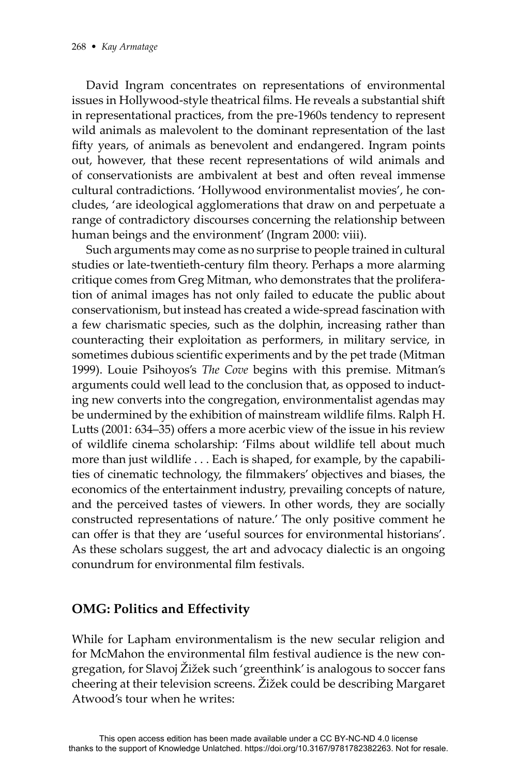David Ingram concentrates on representations of environmental issues in Hollywood-style theatrical films. He reveals a substantial shift in representational practices, from the pre-1960s tendency to represent wild animals as malevolent to the dominant representation of the last fifty years, of animals as benevolent and endangered. Ingram points out, however, that these recent representations of wild animals and of conservationists are ambivalent at best and often reveal immense cultural contradictions. 'Hollywood environmentalist movies', he concludes, 'are ideological agglomerations that draw on and perpetuate a range of contradictory discourses concerning the relationship between human beings and the environment' (Ingram 2000: viii).

Such arguments may come as no surprise to people trained in cultural studies or late-twentieth-century film theory. Perhaps a more alarming critique comes from Greg Mitman, who demonstrates that the proliferation of animal images has not only failed to educate the public about conservationism, but instead has created a wide-spread fascination with a few charismatic species, such as the dolphin, increasing rather than counteracting their exploitation as performers, in military service, in sometimes dubious scientific experiments and by the pet trade (Mitman 1999). Louie Psihoyos's *The Cove* begins with this premise. Mitman's arguments could well lead to the conclusion that, as opposed to inducting new converts into the congregation, environmentalist agendas may be undermined by the exhibition of mainstream wildlife films. Ralph H. Lutts (2001: 634–35) offers a more acerbic view of the issue in his review of wildlife cinema scholarship: 'Films about wildlife tell about much more than just wildlife . . . Each is shaped, for example, by the capabilities of cinematic technology, the filmmakers' objectives and biases, the economics of the entertainment industry, prevailing concepts of nature, and the perceived tastes of viewers. In other words, they are socially constructed representations of nature.' The only positive comment he can offer is that they are 'useful sources for environmental historians'. As these scholars suggest, the art and advocacy dialectic is an ongoing conundrum for environmental film festivals.

#### **OMG: Politics and Effectivity**

While for Lapham environmentalism is the new secular religion and for McMahon the environmental film festival audience is the new congregation, for Slavoj Žižek such 'greenthink' is analogous to soccer fans cheering at their television screens. Žižek could be describing Margaret Atwood's tour when he writes: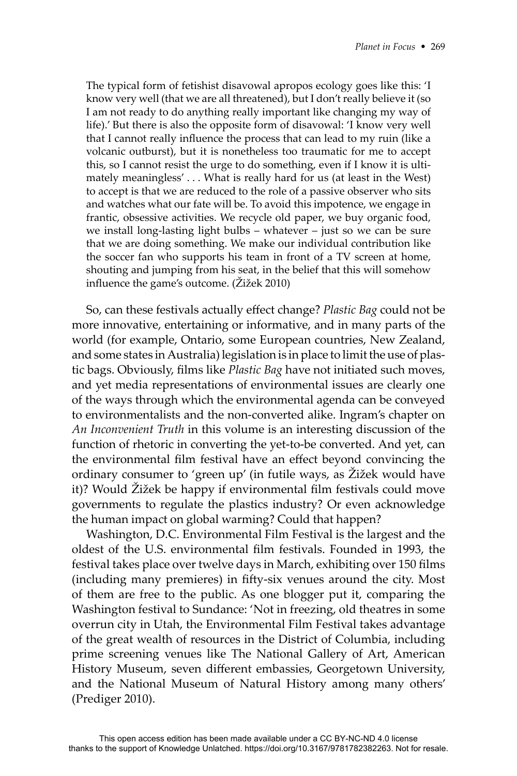The typical form of fetishist disavowal apropos ecology goes like this: 'I know very well (that we are all threatened), but I don't really believe it (so I am not ready to do anything really important like changing my way of life).' But there is also the opposite form of disavowal: 'I know very well that I cannot really influence the process that can lead to my ruin (like a volcanic outburst), but it is nonetheless too traumatic for me to accept this, so I cannot resist the urge to do something, even if I know it is ultimately meaningless'... What is really hard for us (at least in the West) to accept is that we are reduced to the role of a passive observer who sits and watches what our fate will be. To avoid this impotence, we engage in frantic, obsessive activities. We recycle old paper, we buy organic food, we install long-lasting light bulbs – whatever – just so we can be sure that we are doing something. We make our individual contribution like the soccer fan who supports his team in front of a TV screen at home, shouting and jumping from his seat, in the belief that this will somehow influence the game's outcome. (Žižek 2010)

So, can these festivals actually effect change? *Plastic Bag* could not be more innovative, entertaining or informative, and in many parts of the world (for example, Ontario, some European countries, New Zealand, and some states in Australia) legislation is in place to limit the use of plastic bags. Obviously, films like *Plastic Bag* have not initiated such moves, and yet media representations of environmental issues are clearly one of the ways through which the environmental agenda can be conveyed to environmentalists and the non-converted alike. Ingram's chapter on *An Inconvenient Truth* in this volume is an interesting discussion of the function of rhetoric in converting the yet-to-be converted. And yet, can the environmental film festival have an effect beyond convincing the ordinary consumer to 'green up' (in futile ways, as Žižek would have it)? Would Žižek be happy if environmental film festivals could move governments to regulate the plastics industry? Or even acknowledge the human impact on global warming? Could that happen?

Washington, D.C. Environmental Film Festival is the largest and the oldest of the U.S. environmental film festivals. Founded in 1993, the festival takes place over twelve days in March, exhibiting over 150 films (including many premieres) in fifty-six venues around the city. Most of them are free to the public. As one blogger put it, comparing the Washington festival to Sundance: 'Not in freezing, old theatres in some overrun city in Utah, the Environmental Film Festival takes advantage of the great wealth of resources in the District of Columbia, including prime screening venues like The National Gallery of Art, American History Museum, seven different embassies, Georgetown University, and the National Museum of Natural History among many others' (Prediger 2010).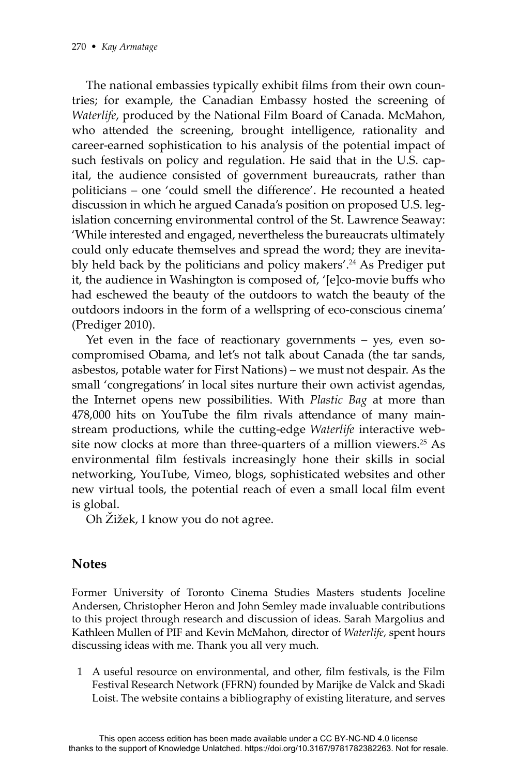The national embassies typically exhibit films from their own countries; for example, the Canadian Embassy hosted the screening of *Waterlife*, produced by the National Film Board of Canada. McMahon, who attended the screening, brought intelligence, rationality and career-earned sophistication to his analysis of the potential impact of such festivals on policy and regulation. He said that in the U.S. capital, the audience consisted of government bureaucrats, rather than politicians – one 'could smell the difference'. He recounted a heated discussion in which he argued Canada's position on proposed U.S. legislation concerning environmental control of the St. Lawrence Seaway: 'While interested and engaged, nevertheless the bureaucrats ultimately could only educate themselves and spread the word; they are inevitably held back by the politicians and policy makers'.<sup>24</sup> As Prediger put it, the audience in Washington is composed of, '[e]co-movie buffs who had eschewed the beauty of the outdoors to watch the beauty of the outdoors indoors in the form of a wellspring of eco-conscious cinema' (Prediger 2010).

Yet even in the face of reactionary governments – yes, even socompromised Obama, and let's not talk about Canada (the tar sands, asbestos, potable water for First Nations) – we must not despair. As the small 'congregations' in local sites nurture their own activist agendas, the Internet opens new possibilities. With *Plastic Bag* at more than 478,000 hits on YouTube the film rivals attendance of many mainstream productions, while the cutting-edge *Waterlife* interactive website now clocks at more than three-quarters of a million viewers.<sup>25</sup> As environmental film festivals increasingly hone their skills in social networking, YouTube, Vimeo, blogs, sophisticated websites and other new virtual tools, the potential reach of even a small local film event is global.

Oh Žižek, I know you do not agree.

## **Notes**

Former University of Toronto Cinema Studies Masters students Joceline Andersen, Christopher Heron and John Semley made invaluable contributions to this project through research and discussion of ideas. Sarah Margolius and Kathleen Mullen of PIF and Kevin McMahon, director of *Waterlife*, spent hours discussing ideas with me. Thank you all very much.

 1 A useful resource on environmental, and other, film festivals, is the Film Festival Research Network (FFRN) founded by Marijke de Valck and Skadi Loist. The website contains a bibliography of existing literature, and serves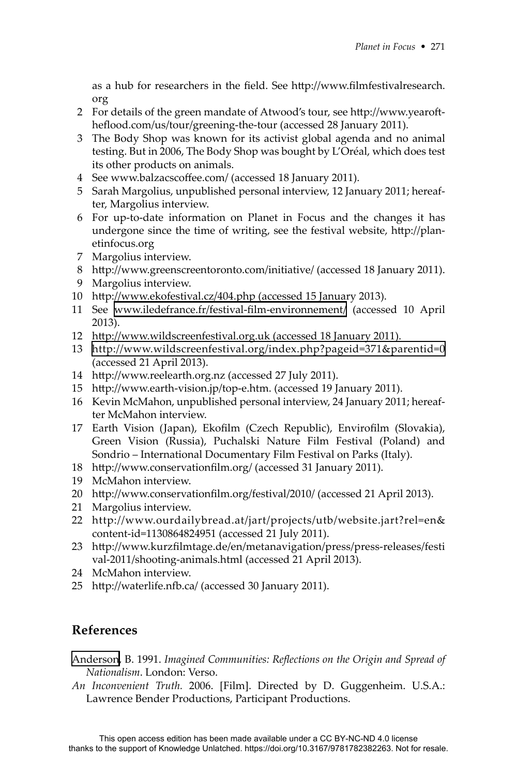as a hub for researchers in the field. See http://www.filmfestivalresearch. org

- 2 For details of the green mandate of Atwood's tour, see http://www.yearoftheflood.com/us/tour/greening-the-tour (accessed 28 January 2011).
- 3 The Body Shop was known for its activist global agenda and no animal testing. But in 2006, The Body Shop was bought by L'Oréal, which does test its other products on animals.
- 4 See www.balzacscoffee.com/ (accessed 18 January 2011).
- 5 Sarah Margolius, unpublished personal interview, 12 January 2011; hereafter, Margolius interview.
- 6 For up-to-date information on Planet in Focus and the changes it has undergone since the time of writing, see the festival website, http://planetinfocus.org
- 7 Margolius interview.
- 8 http://www.greenscreentoronto.com/initiative/ (accessed 18 January 2011).
- 9 Margolius interview.
- 10 http://www.ekofestival.cz/404.php (accessed 15 January 2013).
- 11 See [www.iledefrance.fr/festival-film-environnement/](http://www.iledefrance.fr/festival-film-environnement/) (accessed 10 April 2013).
- 12 http://www.wildscreenfestival.org.uk (accessed 18 January 2011).
- 13 <http://www.wildscreenfestival.org/index.php?pageid=371&parentid=0> (accessed 21 April 2013).
- 14 http://www.reelearth.org.nz (accessed 27 July 2011).
- 15 http://www.earth-vision.jp/top-e.htm. (accessed 19 January 2011).
- 16 Kevin McMahon, unpublished personal interview, 24 January 2011; hereafter McMahon interview.
- 17 Earth Vision (Japan), Ekofilm (Czech Republic), Envirofilm (Slovakia), Green Vision (Russia), Puchalski Nature Film Festival (Poland) and Sondrio – International Documentary Film Festival on Parks (Italy).
- 18 http://www.conservationfilm.org/ (accessed 31 January 2011).
- 19 McMahon interview.
- 20 http://www.conservationfilm.org/festival/2010/ (accessed 21 April 2013).
- 21 Margolius interview.
- 22 http://www.ourdailybread.at/jart/projects/utb/website.jart?rel=en& content-id=1130864824951 (accessed 21 July 2011).
- 23 http://www.kurzfilmtage.de/en/metanavigation/press/press-releases/festi val-2011/shooting-animals.html (accessed 21 April 2013).
- 24 McMahon interview.
- 25 http://waterlife.nfb.ca/ (accessed 30 January 2011).

# **References**

- [Anderson,](http://www.google.ca/search?tbo=p&tbm=bks&q=inauthor:%22Benedict+R.+O%27G.+Anderson%22) B. 1991. *Imagined Communities: Reflections on the Origin and Spread of Nationalism*. London: Verso.
- *An Inconvenient Truth.* 2006. [Film]. Directed by D. Guggenheim. U.S.A.: Lawrence Bender Productions, Participant Productions.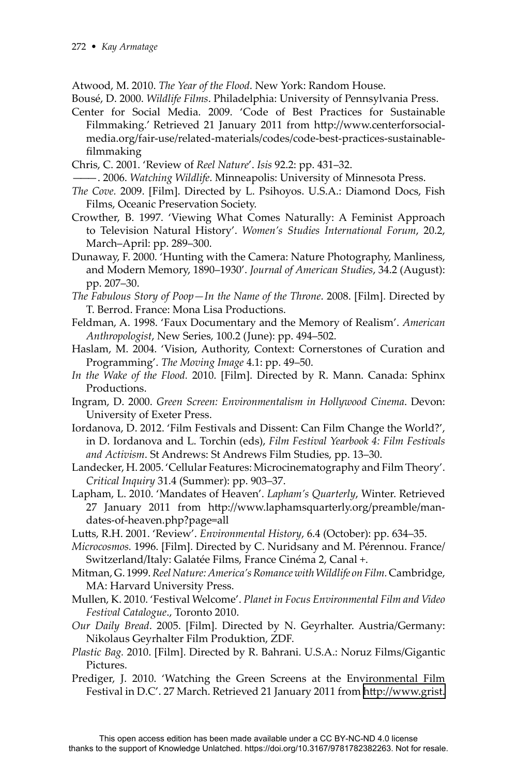Atwood, M. 2010. *The Year of the Flood*. New York: Random House.

Bousé, D. 2000. *Wildlife Films*. Philadelphia: University of Pennsylvania Press.

- Center for Social Media. 2009. 'Code of Best Practices for Sustainable Filmmaking.' Retrieved 21 January 2011 from http://www.centerforsocialmedia.org/fair-use/related-materials/codes/code-best-practices-sustainablefilmmaking
- Chris, C. 2001. 'Review of *Reel Nature*'. *Isis* 92.2: pp. 431–32.
- ———. 2006. *Watching Wildlife*. Minneapolis: University of Minnesota Press.
- *The Cove.* 2009. [Film]. Directed by L. Psihoyos. U.S.A.: Diamond Docs, Fish Films, Oceanic Preservation Society.
- Crowther, B. 1997. 'Viewing What Comes Naturally: A Feminist Approach to Television Natural History'. *Women's Studies International Forum*, 20.2, March–April: pp. 289–300.
- Dunaway, F. 2000. 'Hunting with the Camera: Nature Photography, Manliness, and Modern Memory, 1890–1930'. *Journal of American Studies*, 34.2 (August): pp. 207–30.
- *The Fabulous Story of Poop—In the Name of the Throne*. 2008. [Film]. Directed by T. Berrod. France: Mona Lisa Productions.
- Feldman, A. 1998. 'Faux Documentary and the Memory of Realism'. *American Anthropologist*, New Series, 100.2 (June): pp. 494–502.
- Haslam, M. 2004. 'Vision, Authority, Context: Cornerstones of Curation and Programming'. *The Moving Image* 4.1: pp. 49–50.
- *In the Wake of the Flood.* 2010. [Film]. Directed by R. Mann. Canada: Sphinx Productions.
- Ingram, D. 2000. *Green Screen: Environmentalism in Hollywood Cinema*. Devon: University of Exeter Press.
- Iordanova, D. 2012. 'Film Festivals and Dissent: Can Film Change the World?', in D. Iordanova and L. Torchin (eds), *Film Festival Yearbook 4: Film Festivals and Activism*. St Andrews: St Andrews Film Studies, pp. 13–30.
- Landecker, H. 2005. 'Cellular Features: Microcinematography and Film Theory'. *Critical Inquiry* 31.4 (Summer): pp. 903–37.
- Lapham, L. 2010. 'Mandates of Heaven'. *Lapham's Quarterly*, Winter. Retrieved 27 January 2011 from http://www.laphamsquarterly.org/preamble/mandates-of-heaven.php?page=all
- Lutts, R.H. 2001. 'Review'. *Environmental History*, 6.4 (October): pp. 634–35.
- *Microcosmos.* 1996. [Film]. Directed by C. Nuridsany and M. Pérennou. France/ Switzerland/Italy: Galatée Films, France Cinéma 2, Canal +.
- Mitman, G. 1999. *ReelNature: America'sRomance withWildlife on Film.* Cambridge, MA: Harvard University Press.
- Mullen, K. 2010. 'Festival Welcome'. *Planet in Focus Environmental Film and Video Festival Catalogue*., Toronto 2010.
- *Our Daily Bread*. 2005. [Film]. Directed by N. Geyrhalter. Austria/Germany: Nikolaus Geyrhalter Film Produktion, ZDF.
- *Plastic Bag.* 2010. [Film]. Directed by R. Bahrani. U.S.A.: Noruz Films/Gigantic Pictures.
- Prediger, J. 2010. 'Watching the Green Screens at the Environmental Film Festival in D.C'. 27 March. Retrieved 21 January 2011 from [http://www.grist.](http://www.grist.org/article/2010-03-26-watching-the-green-screens-at-the-environmental-film-festival-in/)